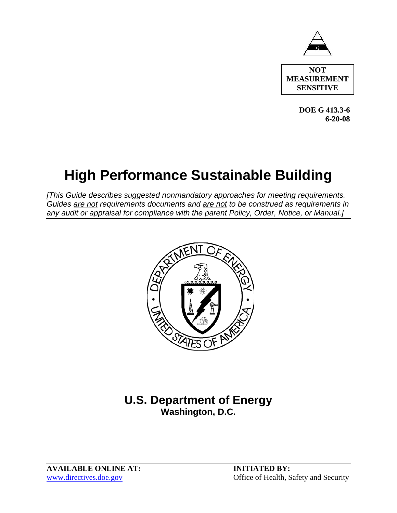

**NOT MEASUREMENT SENSITIVE** 

> **DOE G 413.3-6 6-20-08**

## **High Performance Sustainable Building**

*[This Guide describes suggested nonmandatory approaches for meeting requirements. Guides are not requirements documents and are not to be construed as requirements in any audit or appraisal for compliance with the parent Policy, Order, Notice, or Manual.]*



## **U.S. Department of Energy Washington, D.C.**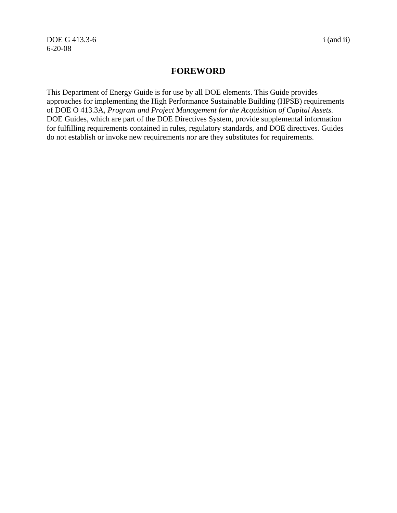DOE G 413.3-6 i (and ii) 6-20-08

## **FOREWORD**

This Department of Energy Guide is for use by all DOE elements. This Guide provides approaches for implementing the High Performance Sustainable Building (HPSB) requirements of DOE O 413.3A, *Program and Project Management for the Acquisition of Capital Assets*. DOE Guides, which are part of the DOE Directives System, provide supplemental information for fulfilling requirements contained in rules, regulatory standards, and DOE directives. Guides do not establish or invoke new requirements nor are they substitutes for requirements.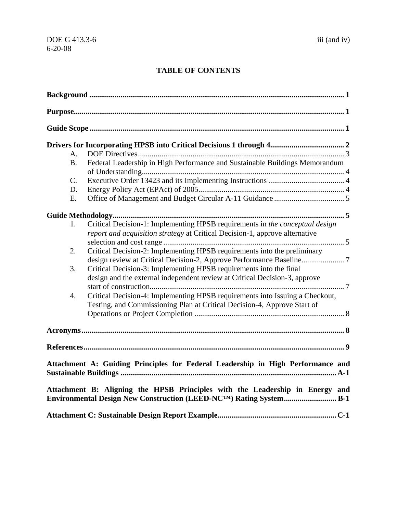## **TABLE OF CONTENTS**

| $A_{\cdot}$                                                                                                                                         |                                                                                 |  |
|-----------------------------------------------------------------------------------------------------------------------------------------------------|---------------------------------------------------------------------------------|--|
| B <sub>1</sub>                                                                                                                                      | Federal Leadership in High Performance and Sustainable Buildings Memorandum     |  |
| C.                                                                                                                                                  |                                                                                 |  |
| D.                                                                                                                                                  |                                                                                 |  |
| E.                                                                                                                                                  |                                                                                 |  |
|                                                                                                                                                     |                                                                                 |  |
| 1.                                                                                                                                                  | Critical Decision-1: Implementing HPSB requirements in the conceptual design    |  |
|                                                                                                                                                     | report and acquisition strategy at Critical Decision-1, approve alternative     |  |
|                                                                                                                                                     |                                                                                 |  |
| 2.                                                                                                                                                  | Critical Decision-2: Implementing HPSB requirements into the preliminary        |  |
|                                                                                                                                                     |                                                                                 |  |
| 3.                                                                                                                                                  | Critical Decision-3: Implementing HPSB requirements into the final              |  |
|                                                                                                                                                     | design and the external independent review at Critical Decision-3, approve      |  |
|                                                                                                                                                     |                                                                                 |  |
| 4.                                                                                                                                                  | Critical Decision-4: Implementing HPSB requirements into Issuing a Checkout,    |  |
|                                                                                                                                                     | Testing, and Commissioning Plan at Critical Decision-4, Approve Start of        |  |
|                                                                                                                                                     |                                                                                 |  |
|                                                                                                                                                     |                                                                                 |  |
|                                                                                                                                                     |                                                                                 |  |
|                                                                                                                                                     | Attachment A: Guiding Principles for Federal Leadership in High Performance and |  |
| Attachment B: Aligning the HPSB Principles with the Leadership in Energy and<br>Environmental Design New Construction (LEED-NCTM) Rating System B-1 |                                                                                 |  |
|                                                                                                                                                     |                                                                                 |  |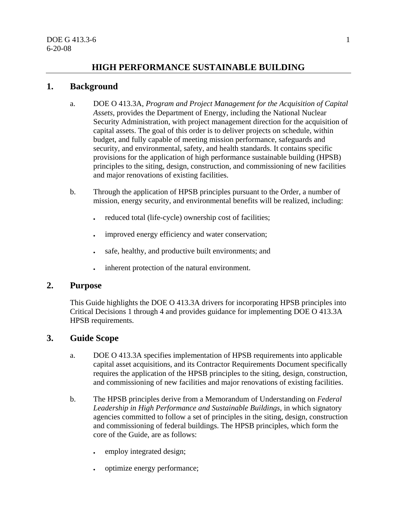## **HIGH PERFORMANCE SUSTAINABLE BUILDING**

## **1. Background**

- a. DOE O 413.3A, *Program and Project Management for the Acquisition of Capital Assets*, provides the Department of Energy, including the National Nuclear Security Administration, with project management direction for the acquisition of capital assets. The goal of this order is to deliver projects on schedule, within budget, and fully capable of meeting mission performance, safeguards and security, and environmental, safety, and health standards. It contains specific provisions for the application of high performance sustainable building (HPSB) principles to the siting, design, construction, and commissioning of new facilities and major renovations of existing facilities.
- b. Through the application of HPSB principles pursuant to the Order, a number of mission, energy security, and environmental benefits will be realized, including:
	- reduced total (life-cycle) ownership cost of facilities;
	- improved energy efficiency and water conservation;
	- safe, healthy, and productive built environments; and
	- inherent protection of the natural environment.

## **2. Purpose**

This Guide highlights the DOE O 413.3A drivers for incorporating HPSB principles into Critical Decisions 1 through 4 and provides guidance for implementing DOE O 413.3A HPSB requirements.

## **3. Guide Scope**

- a. DOE O 413.3A specifies implementation of HPSB requirements into applicable capital asset acquisitions, and its Contractor Requirements Document specifically requires the application of the HPSB principles to the siting, design, construction, and commissioning of new facilities and major renovations of existing facilities.
- b. The HPSB principles derive from a Memorandum of Understanding on *Federal Leadership in High Performance and Sustainable Buildings*, in which signatory agencies committed to follow a set of principles in the siting, design, construction and commissioning of federal buildings. The HPSB principles, which form the core of the Guide, are as follows:
	- employ integrated design;
	- optimize energy performance;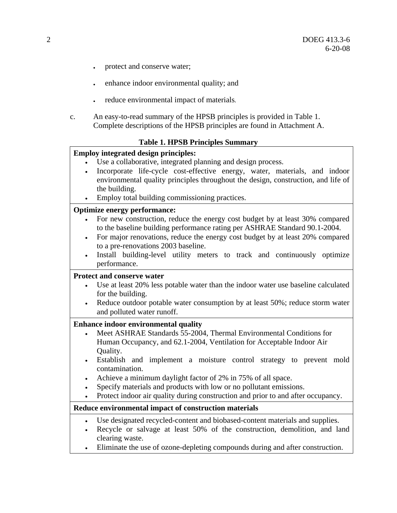- protect and conserve water;
- enhance indoor environmental quality; and
- reduce environmental impact of materials.
- c. An easy-to-read summary of the HPSB principles is provided in Table 1. Complete descriptions of the HPSB principles are found in Attachment A.

#### **Table 1. HPSB Principles Summary**

#### **Employ integrated design principles:**

- Use a collaborative, integrated planning and design process.
- Incorporate life-cycle cost-effective energy, water, materials, and indoor environmental quality principles throughout the design, construction, and life of the building.
- Employ total building commissioning practices.

#### **Optimize energy performance:**

- For new construction, reduce the energy cost budget by at least 30% compared to the baseline building performance rating per ASHRAE Standard 90.1-2004.
- For major renovations, reduce the energy cost budget by at least 20% compared to a pre-renovations 2003 baseline.
- Install building-level utility meters to track and continuously optimize performance.

#### **Protect and conserve water**

- Use at least 20% less potable water than the indoor water use baseline calculated for the building.
- Reduce outdoor potable water consumption by at least 50%; reduce storm water and polluted water runoff.

#### **Enhance indoor environmental quality**

- Meet ASHRAE Standards 55-2004, Thermal Environmental Conditions for Human Occupancy, and 62.1-2004, Ventilation for Acceptable Indoor Air Quality.
- Establish and implement a moisture control strategy to prevent mold contamination.
- Achieve a minimum daylight factor of 2% in 75% of all space.
- Specify materials and products with low or no pollutant emissions.
- Protect indoor air quality during construction and prior to and after occupancy.

#### **Reduce environmental impact of construction materials**

- Use designated recycled-content and biobased-content materials and supplies.
- Recycle or salvage at least 50% of the construction, demolition, and land clearing waste.
- Eliminate the use of ozone-depleting compounds during and after construction.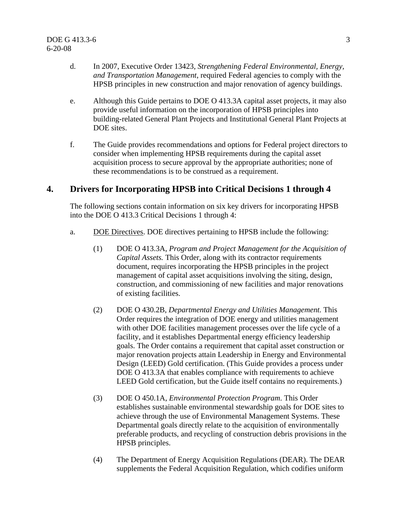- d. In 2007, Executive Order 13423, *Strengthening Federal Environmental, Energy, and Transportation Management*, required Federal agencies to comply with the HPSB principles in new construction and major renovation of agency buildings.
- e. Although this Guide pertains to DOE O 413.3A capital asset projects, it may also provide useful information on the incorporation of HPSB principles into building-related General Plant Projects and Institutional General Plant Projects at DOE sites.
- f. The Guide provides recommendations and options for Federal project directors to consider when implementing HPSB requirements during the capital asset acquisition process to secure approval by the appropriate authorities; none of these recommendations is to be construed as a requirement.

## **4. Drivers for Incorporating HPSB into Critical Decisions 1 through 4**

The following sections contain information on six key drivers for incorporating HPSB into the DOE O 413.3 Critical Decisions 1 through 4:

- a. DOE Directives. DOE directives pertaining to HPSB include the following:
	- (1) DOE O 413.3A, *Program and Project Management for the Acquisition of Capital Assets.* This Order, along with its contractor requirements document, requires incorporating the HPSB principles in the project management of capital asset acquisitions involving the siting, design, construction, and commissioning of new facilities and major renovations of existing facilities.
	- (2) DOE O 430.2B, *Departmental Energy and Utilities Management.* This Order requires the integration of DOE energy and utilities management with other DOE facilities management processes over the life cycle of a facility, and it establishes Departmental energy efficiency leadership goals. The Order contains a requirement that capital asset construction or major renovation projects attain Leadership in Energy and Environmental Design (LEED) Gold certification. (This Guide provides a process under DOE O 413.3A that enables compliance with requirements to achieve LEED Gold certification, but the Guide itself contains no requirements.)
	- (3) DOE O 450.1A, *Environmental Protection Program*. This Order establishes sustainable environmental stewardship goals for DOE sites to achieve through the use of Environmental Management Systems. These Departmental goals directly relate to the acquisition of environmentally preferable products, and recycling of construction debris provisions in the HPSB principles.
	- (4) The Department of Energy Acquisition Regulations (DEAR). The DEAR supplements the Federal Acquisition Regulation, which codifies uniform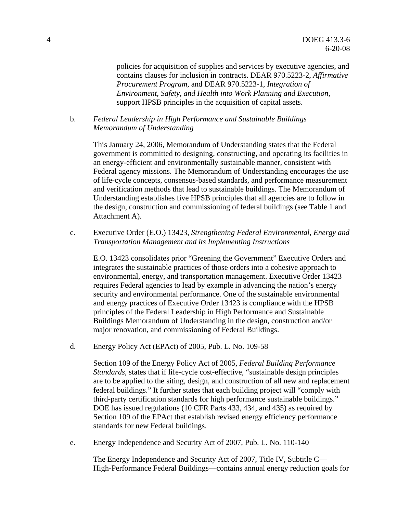policies for acquisition of supplies and services by executive agencies, and contains clauses for inclusion in contracts. DEAR 970.5223-2, *Affirmative Procurement Program*, and DEAR 970.5223-1, *Integration of Environment, Safety, and Health into Work Planning and Execution*, support HPSB principles in the acquisition of capital assets.

b. *Federal Leadership in High Performance and Sustainable Buildings Memorandum of Understanding*

This January 24, 2006, Memorandum of Understanding states that the Federal government is committed to designing, constructing, and operating its facilities in an energy-efficient and environmentally sustainable manner, consistent with Federal agency missions. The Memorandum of Understanding encourages the use of life-cycle concepts, consensus-based standards, and performance measurement and verification methods that lead to sustainable buildings. The Memorandum of Understanding establishes five HPSB principles that all agencies are to follow in the design, construction and commissioning of federal buildings (see Table 1 and Attachment A).

c. Executive Order (E.O.) 13423, *Strengthening Federal Environmental, Energy and Transportation Management and its Implementing Instructions*

E.O. 13423 consolidates prior "Greening the Government" Executive Orders and integrates the sustainable practices of those orders into a cohesive approach to environmental, energy, and transportation management. Executive Order 13423 requires Federal agencies to lead by example in advancing the nation's energy security and environmental performance. One of the sustainable environmental and energy practices of Executive Order 13423 is compliance with the HPSB principles of the Federal Leadership in High Performance and Sustainable Buildings Memorandum of Understanding in the design, construction and/or major renovation, and commissioning of Federal Buildings.

d. Energy Policy Act (EPAct) of 2005, Pub. L. No. 109-58

Section 109 of the Energy Policy Act of 2005, *Federal Building Performance Standards*, states that if life-cycle cost-effective, "sustainable design principles are to be applied to the siting, design, and construction of all new and replacement federal buildings." It further states that each building project will "comply with third-party certification standards for high performance sustainable buildings." DOE has issued regulations (10 CFR Parts 433, 434, and 435) as required by Section 109 of the EPAct that establish revised energy efficiency performance standards for new Federal buildings.

e. Energy Independence and Security Act of 2007, Pub. L. No. 110-140

The Energy Independence and Security Act of 2007, Title IV, Subtitle C— High-Performance Federal Buildings—contains annual energy reduction goals for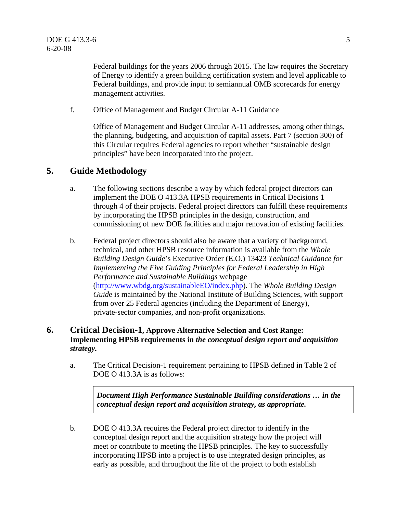Federal buildings for the years 2006 through 2015. The law requires the Secretary of Energy to identify a green building certification system and level applicable to Federal buildings, and provide input to semiannual OMB scorecards for energy management activities.

f. Office of Management and Budget Circular A-11 Guidance

Office of Management and Budget Circular A-11 addresses, among other things, the planning, budgeting, and acquisition of capital assets. Part 7 (section 300) of this Circular requires Federal agencies to report whether "sustainable design principles" have been incorporated into the project.

## **5. Guide Methodology**

- a. The following sections describe a way by which federal project directors can implement the DOE O 413.3A HPSB requirements in Critical Decisions 1 through 4 of their projects. Federal project directors can fulfill these requirements by incorporating the HPSB principles in the design, construction, and commissioning of new DOE facilities and major renovation of existing facilities.
- b. Federal project directors should also be aware that a variety of background, technical, and other HPSB resource information is available from the *Whole Building Design Guide*'s Executive Order (E.O.) 13423 *Technical Guidance for Implementing the Five Guiding Principles for Federal Leadership in High Performance and Sustainable Buildings* webpage (http://www.wbdg.org/sustainableEO/index.php). The *Whole Building Design Guid*e is maintained by the National Institute of Building Sciences, with support from over 25 Federal agencies (including the Department of Energy), private-sector companies, and non-profit organizations.

## **6. Critical Decision-1, Approve Alternative Selection and Cost Range: Implementing HPSB requirements in** *the conceptual design report and acquisition strategy.*

a. The Critical Decision-1 requirement pertaining to HPSB defined in Table 2 of DOE O 413.3A is as follows:

> *Document High Performance Sustainable Building considerations … in the conceptual design report and acquisition strategy, as appropriate.*

b. DOE O 413.3A requires the Federal project director to identify in the conceptual design report and the acquisition strategy how the project will meet or contribute to meeting the HPSB principles. The key to successfully incorporating HPSB into a project is to use integrated design principles, as early as possible, and throughout the life of the project to both establish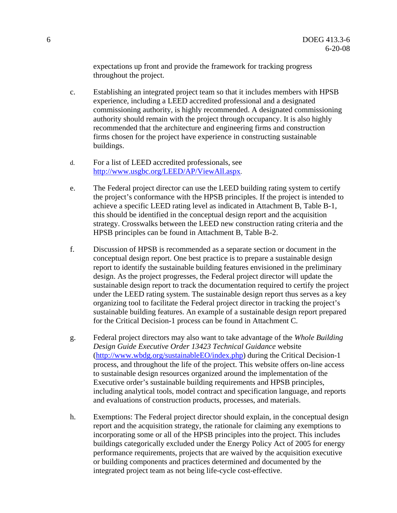expectations up front and provide the framework for tracking progress throughout the project.

- c. Establishing an integrated project team so that it includes members with HPSB experience, including a LEED accredited professional and a designated commissioning authority, is highly recommended. A designated commissioning authority should remain with the project through occupancy. It is also highly recommended that the architecture and engineering firms and construction firms chosen for the project have experience in constructing sustainable buildings.
- d. For a list of LEED accredited professionals, see http://www.usgbc.org/LEED/AP/ViewAll.aspx.
- e. The Federal project director can use the LEED building rating system to certify the project's conformance with the HPSB principles. If the project is intended to achieve a specific LEED rating level as indicated in Attachment B, Table B-1, this should be identified in the conceptual design report and the acquisition strategy. Crosswalks between the LEED new construction rating criteria and the HPSB principles can be found in Attachment B, Table B-2.
- f. Discussion of HPSB is recommended as a separate section or document in the conceptual design report. One best practice is to prepare a sustainable design report to identify the sustainable building features envisioned in the preliminary design. As the project progresses, the Federal project director will update the sustainable design report to track the documentation required to certify the project under the LEED rating system. The sustainable design report thus serves as a key organizing tool to facilitate the Federal project director in tracking the project's sustainable building features. An example of a sustainable design report prepared for the Critical Decision-1 process can be found in Attachment C.
- g. Federal project directors may also want to take advantage of the *Whole Building Design Guide Executive Order 13423 Technical Guidance* website (http://www.wbdg.org/sustainableEO/index.php) during the Critical Decision-1 process, and throughout the life of the project. This website offers on-line access to sustainable design resources organized around the implementation of the Executive order's sustainable building requirements and HPSB principles, including analytical tools, model contract and specification language, and reports and evaluations of construction products, processes, and materials.
- h. Exemptions: The Federal project director should explain, in the conceptual design report and the acquisition strategy, the rationale for claiming any exemptions to incorporating some or all of the HPSB principles into the project. This includes buildings categorically excluded under the Energy Policy Act of 2005 for energy performance requirements, projects that are waived by the acquisition executive or building components and practices determined and documented by the integrated project team as not being life-cycle cost-effective.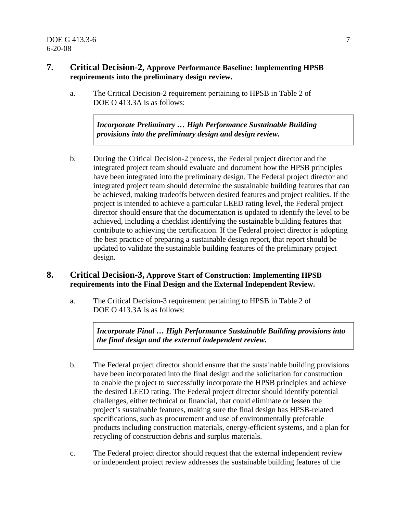## **7. Critical Decision-2, Approve Performance Baseline: Implementing HPSB requirements into the preliminary design review.**

a. The Critical Decision-2 requirement pertaining to HPSB in Table 2 of DOE O 413.3A is as follows:

> *Incorporate Preliminary … High Performance Sustainable Building provisions into the preliminary design and design review.*

b. During the Critical Decision-2 process, the Federal project director and the integrated project team should evaluate and document how the HPSB principles have been integrated into the preliminary design. The Federal project director and integrated project team should determine the sustainable building features that can be achieved, making tradeoffs between desired features and project realities. If the project is intended to achieve a particular LEED rating level, the Federal project director should ensure that the documentation is updated to identify the level to be achieved, including a checklist identifying the sustainable building features that contribute to achieving the certification. If the Federal project director is adopting the best practice of preparing a sustainable design report, that report should be updated to validate the sustainable building features of the preliminary project design.

## **8. Critical Decision-3, Approve Start of Construction: Implementing HPSB requirements into the Final Design and the External Independent Review.**

a. The Critical Decision-3 requirement pertaining to HPSB in Table 2 of DOE O 413.3A is as follows:

> *Incorporate Final … High Performance Sustainable Building provisions into the final design and the external independent review.*

- b. The Federal project director should ensure that the sustainable building provisions have been incorporated into the final design and the solicitation for construction to enable the project to successfully incorporate the HPSB principles and achieve the desired LEED rating. The Federal project director should identify potential challenges, either technical or financial, that could eliminate or lessen the project's sustainable features, making sure the final design has HPSB-related specifications, such as procurement and use of environmentally preferable products including construction materials, energy-efficient systems, and a plan for recycling of construction debris and surplus materials.
- c. The Federal project director should request that the external independent review or independent project review addresses the sustainable building features of the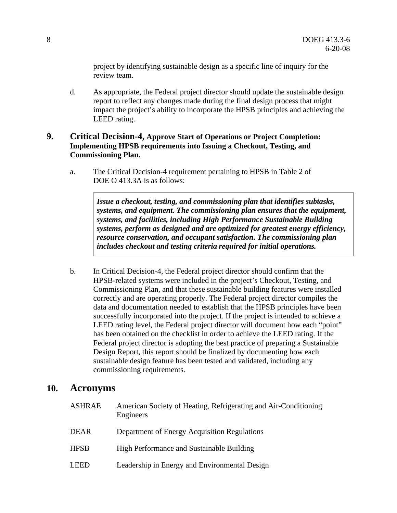project by identifying sustainable design as a specific line of inquiry for the review team.

d. As appropriate, the Federal project director should update the sustainable design report to reflect any changes made during the final design process that might impact the project's ability to incorporate the HPSB principles and achieving the LEED rating.

## **9. Critical Decision-4, Approve Start of Operations or Project Completion: Implementing HPSB requirements into Issuing a Checkout, Testing, and Commissioning Plan.**

a. The Critical Decision-4 requirement pertaining to HPSB in Table 2 of DOE O 413.3A is as follows:

> *Issue a checkout, testing, and commissioning plan that identifies subtasks, systems, and equipment. The commissioning plan ensures that the equipment, systems, and facilities, including High Performance Sustainable Building systems, perform as designed and are optimized for greatest energy efficiency, resource conservation, and occupant satisfaction. The commissioning plan includes checkout and testing criteria required for initial operations.*

b. In Critical Decision-4, the Federal project director should confirm that the HPSB-related systems were included in the project's Checkout, Testing, and Commissioning Plan, and that these sustainable building features were installed correctly and are operating properly. The Federal project director compiles the data and documentation needed to establish that the HPSB principles have been successfully incorporated into the project. If the project is intended to achieve a LEED rating level, the Federal project director will document how each "point" has been obtained on the checklist in order to achieve the LEED rating. If the Federal project director is adopting the best practice of preparing a Sustainable Design Report, this report should be finalized by documenting how each sustainable design feature has been tested and validated, including any commissioning requirements.

## **10. Acronyms**

| <b>ASHRAE</b> | American Society of Heating, Refrigerating and Air-Conditioning<br>Engineers |
|---------------|------------------------------------------------------------------------------|
| <b>DEAR</b>   | Department of Energy Acquisition Regulations                                 |
| <b>HPSB</b>   | High Performance and Sustainable Building                                    |
| <b>LEED</b>   | Leadership in Energy and Environmental Design                                |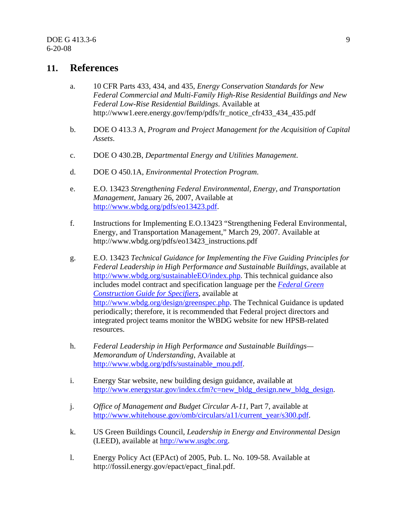## **11. References**

- a. 10 CFR Parts 433, 434, and 435, *Energy Conservation Standards for New Federal Commercial and Multi-Family High-Rise Residential Buildings and New Federal Low-Rise Residential Buildings*. Available at http://www1.eere.energy.gov/femp/pdfs/fr\_notice\_cfr433\_434\_435.pdf
- b. DOE O 413.3 A, *Program and Project Management for the Acquisition of Capital Assets*.
- c. DOE O 430.2B, *Departmental Energy and Utilities Management*.
- d. DOE O 450.1A, *Environmental Protection Program*.
- e. E.O. 13423 *Strengthening Federal Environmental, Energy, and Transportation Management*, January 26, 2007, Available at http://www.wbdg.org/pdfs/eo13423.pdf.
- f. Instructions for Implementing E.O.13423 "Strengthening Federal Environmental, Energy, and Transportation Management," March 29, 2007. Available at http://www.wbdg.org/pdfs/eo13423\_instructions.pdf
- g. E.O. 13423 *Technical Guidance for Implementing the Five Guiding Principles for Federal Leadership in High Performance and Sustainable Buildings,* available at http://www.wbdg.org/sustainableEO/index.php. This technical guidance also includes model contract and specification language per the *Federal Green Construction Guide for Specifiers,* available at http://www.wbdg.org/design/greenspec.php. The Technical Guidance is updated periodically; therefore, it is recommended that Federal project directors and integrated project teams monitor the WBDG website for new HPSB-related resources.
- h. *Federal Leadership in High Performance and Sustainable Buildings— Memorandum of Understanding*, Available at http://www.wbdg.org/pdfs/sustainable\_mou.pdf.
- i. Energy Star website, new building design guidance, available at http://www.energystar.gov/index.cfm?c=new\_bldg\_design.new\_bldg\_design.
- j. *Office of Management and Budget Circular A-11*, Part 7, available at http://www.whitehouse.gov/omb/circulars/a11/current\_year/s300.pdf.
- k. US Green Buildings Council, *Leadership in Energy and Environmental Design* (LEED), available at http://www.usgbc.org.
- l. Energy Policy Act (EPAct) of 2005, Pub. L. No. 109-58. Available at http://fossil.energy.gov/epact/epact\_final.pdf.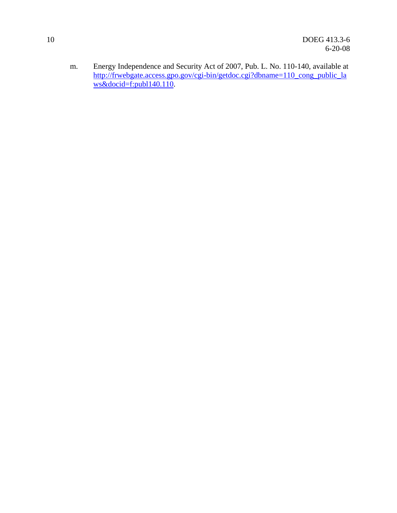m. Energy Independence and Security Act of 2007, Pub. L. No. 110-140, available at http://frwebgate.access.gpo.gov/cgi-bin/getdoc.cgi?dbname=110\_cong\_public\_la ws&docid=f:publ140.110.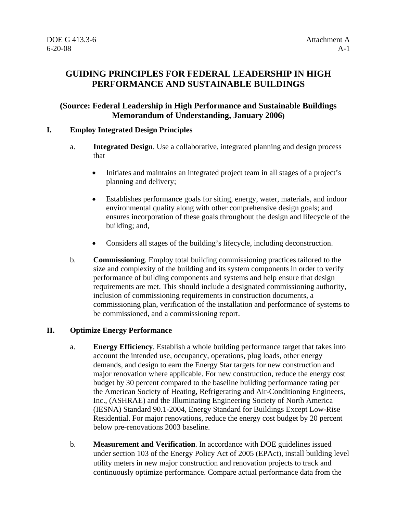## **GUIDING PRINCIPLES FOR FEDERAL LEADERSHIP IN HIGH PERFORMANCE AND SUSTAINABLE BUILDINGS**

## **(Source: Federal Leadership in High Performance and Sustainable Buildings Memorandum of Understanding, January 2006)**

## **I. Employ Integrated Design Principles**

- a. **Integrated Design**. Use a collaborative, integrated planning and design process that
	- Initiates and maintains an integrated project team in all stages of a project's planning and delivery;
	- Establishes performance goals for siting, energy, water, materials, and indoor environmental quality along with other comprehensive design goals; and ensures incorporation of these goals throughout the design and lifecycle of the building; and,
	- Considers all stages of the building's lifecycle, including deconstruction.
- b. **Commissioning**. Employ total building commissioning practices tailored to the size and complexity of the building and its system components in order to verify performance of building components and systems and help ensure that design requirements are met. This should include a designated commissioning authority, inclusion of commissioning requirements in construction documents, a commissioning plan, verification of the installation and performance of systems to be commissioned, and a commissioning report.

#### **II. Optimize Energy Performance**

- a. **Energy Efficiency**. Establish a whole building performance target that takes into account the intended use, occupancy, operations, plug loads, other energy demands, and design to earn the Energy Star targets for new construction and major renovation where applicable. For new construction, reduce the energy cost budget by 30 percent compared to the baseline building performance rating per the American Society of Heating, Refrigerating and Air-Conditioning Engineers, Inc., (ASHRAE) and the Illuminating Engineering Society of North America (IESNA) Standard 90.1-2004, Energy Standard for Buildings Except Low-Rise Residential. For major renovations, reduce the energy cost budget by 20 percent below pre-renovations 2003 baseline.
- b. **Measurement and Verification**. In accordance with DOE guidelines issued under section 103 of the Energy Policy Act of 2005 (EPAct), install building level utility meters in new major construction and renovation projects to track and continuously optimize performance. Compare actual performance data from the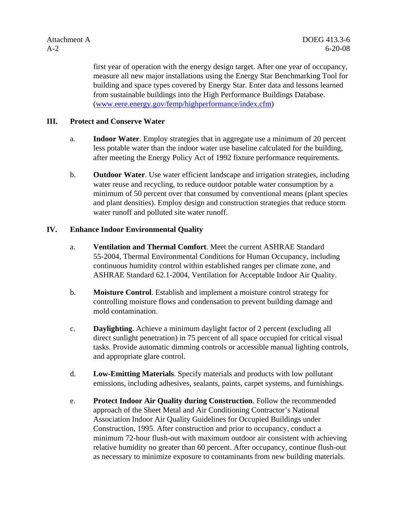first year of operation with the energy design target. After one year of occupancy, measure all new major installations using the Energy Star Benchmarking Tool for building and space types covered by Energy Star. Enter data and lessons learned from sustainable buildings into the High Performance Buildings Database. (www.eere.energy.gov/femp/highperformance/index.cfm)

## **III. Protect and Conserve Water**

- a. **Indoor Water**. Employ strategies that in aggregate use a minimum of 20 percent less potable water than the indoor water use baseline calculated for the building, after meeting the Energy Policy Act of 1992 fixture performance requirements.
- b. **Outdoor Water**. Use water efficient landscape and irrigation strategies, including water reuse and recycling, to reduce outdoor potable water consumption by a minimum of 50 percent over that consumed by conventional means (plant species and plant densities). Employ design and construction strategies that reduce storm water runoff and polluted site water runoff.

## **IV. Enhance Indoor Environmental Quality**

- a. **Ventilation and Thermal Comfort**. Meet the current ASHRAE Standard 55-2004, Thermal Environmental Conditions for Human Occupancy, including continuous humidity control within established ranges per climate zone, and ASHRAE Standard 62.1-2004, Ventilation for Acceptable Indoor Air Quality.
- b. **Moisture Control**. Establish and implement a moisture control strategy for controlling moisture flows and condensation to prevent building damage and mold contamination.
- c. **Daylighting**. Achieve a minimum daylight factor of 2 percent (excluding all direct sunlight penetration) in 75 percent of all space occupied for critical visual tasks. Provide automatic dimming controls or accessible manual lighting controls, and appropriate glare control.
- d. **Low-Emitting Materials**. Specify materials and products with low pollutant emissions, including adhesives, sealants, paints, carpet systems, and furnishings.
- e. **Protect Indoor Air Quality during Construction**. Follow the recommended approach of the Sheet Metal and Air Conditioning Contractor's National Association Indoor Air Quality Guidelines for Occupied Buildings under Construction, 1995. After construction and prior to occupancy, conduct a minimum 72-hour flush-out with maximum outdoor air consistent with achieving relative humidity no greater than 60 percent. After occupancy, continue flush-out as necessary to minimize exposure to contaminants from new building materials.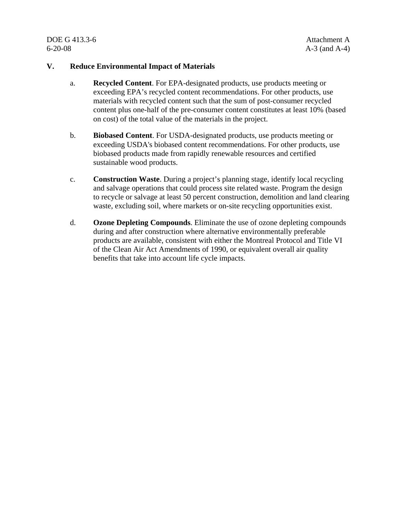DOE G 413.3-6 Attachment A 6-20-08 A-3 (and A-4)

#### **V. Reduce Environmental Impact of Materials**

- a. **Recycled Content**. For EPA-designated products, use products meeting or exceeding EPA's recycled content recommendations. For other products, use materials with recycled content such that the sum of post-consumer recycled content plus one-half of the pre-consumer content constitutes at least 10% (based on cost) of the total value of the materials in the project.
- b. **Biobased Content**. For USDA-designated products, use products meeting or exceeding USDA's biobased content recommendations. For other products, use biobased products made from rapidly renewable resources and certified sustainable wood products.
- c. **Construction Waste**. During a project's planning stage, identify local recycling and salvage operations that could process site related waste. Program the design to recycle or salvage at least 50 percent construction, demolition and land clearing waste, excluding soil, where markets or on-site recycling opportunities exist.
- d. **Ozone Depleting Compounds**. Eliminate the use of ozone depleting compounds during and after construction where alternative environmentally preferable products are available, consistent with either the Montreal Protocol and Title VI of the Clean Air Act Amendments of 1990, or equivalent overall air quality benefits that take into account life cycle impacts.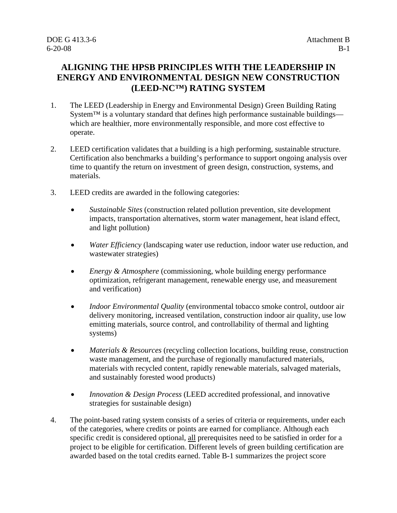## **ALIGNING THE HPSB PRINCIPLES WITH THE LEADERSHIP IN ENERGY AND ENVIRONMENTAL DESIGN NEW CONSTRUCTION (LEED-NC™) RATING SYSTEM**

- 1. The LEED (Leadership in Energy and Environmental Design) Green Building Rating System<sup>™</sup> is a voluntary standard that defines high performance sustainable buildings which are healthier, more environmentally responsible, and more cost effective to operate.
- 2. LEED certification validates that a building is a high performing, sustainable structure. Certification also benchmarks a building's performance to support ongoing analysis over time to quantify the return on investment of green design, construction, systems, and materials.
- 3. LEED credits are awarded in the following categories:
	- *Sustainable Sites* (construction related pollution prevention, site development impacts, transportation alternatives, storm water management, heat island effect, and light pollution)
	- *Water Efficiency* (landscaping water use reduction, indoor water use reduction, and wastewater strategies)
	- *Energy & Atmosphere* (commissioning, whole building energy performance optimization, refrigerant management, renewable energy use, and measurement and verification)
	- *Indoor Environmental Quality* (environmental tobacco smoke control, outdoor air delivery monitoring, increased ventilation, construction indoor air quality, use low emitting materials, source control, and controllability of thermal and lighting systems)
	- *Materials & Resources* (recycling collection locations, building reuse, construction waste management, and the purchase of regionally manufactured materials, materials with recycled content, rapidly renewable materials, salvaged materials, and sustainably forested wood products)
	- *Innovation & Design Process* (LEED accredited professional, and innovative strategies for sustainable design)
- 4. The point-based rating system consists of a series of criteria or requirements, under each of the categories, where credits or points are earned for compliance. Although each specific credit is considered optional, all prerequisites need to be satisfied in order for a project to be eligible for certification. Different levels of green building certification are awarded based on the total credits earned. Table B-1 summarizes the project score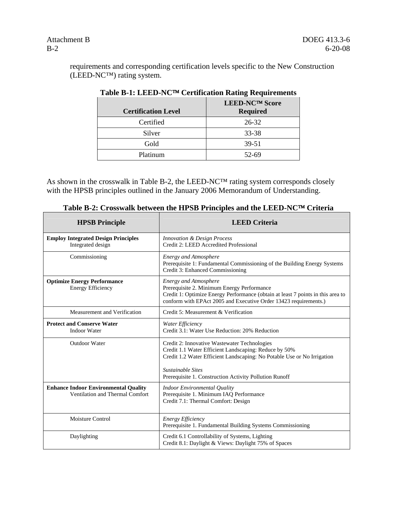requirements and corresponding certification levels specific to the New Construction (LEED-NC™) rating system.

| <b>Certification Level</b> | LEED-NC™ Score<br><b>Required</b> |
|----------------------------|-----------------------------------|
| Certified                  | 26-32                             |
| Silver                     | 33-38                             |
| Gold                       | $39 - 51$                         |
| Platinum                   | 52-69                             |

| Table B-1: LEED-NC™ Certification Rating Requirements |  |  |  |
|-------------------------------------------------------|--|--|--|
|-------------------------------------------------------|--|--|--|

As shown in the crosswalk in Table B-2, the LEED-NC™ rating system corresponds closely with the HPSB principles outlined in the January 2006 Memorandum of Understanding.

| Table D-2, Crosswaik between the III SD Trinciples and the LEED-INC <sup>-11</sup> Criteria |                                                                                                                                                                                                                                                                        |  |  |
|---------------------------------------------------------------------------------------------|------------------------------------------------------------------------------------------------------------------------------------------------------------------------------------------------------------------------------------------------------------------------|--|--|
| <b>HPSB Principle</b>                                                                       | <b>LEED Criteria</b>                                                                                                                                                                                                                                                   |  |  |
| <b>Employ Integrated Design Principles</b><br>Integrated design                             | <b>Innovation &amp; Design Process</b><br>Credit 2: LEED Accredited Professional                                                                                                                                                                                       |  |  |
| Commissioning                                                                               | <b>Energy and Atmosphere</b><br>Prerequisite 1: Fundamental Commissioning of the Building Energy Systems<br>Credit 3: Enhanced Commissioning                                                                                                                           |  |  |
| <b>Optimize Energy Performance</b><br><b>Energy Efficiency</b>                              | <b>Energy and Atmosphere</b><br>Prerequisite 2. Minimum Energy Performance<br>Credit 1: Optimize Energy Performance (obtain at least 7 points in this area to<br>conform with EPAct 2005 and Executive Order 13423 requirements.)                                      |  |  |
| Measurement and Verification                                                                | Credit 5: Measurement & Verification                                                                                                                                                                                                                                   |  |  |
| <b>Protect and Conserve Water</b><br><b>Indoor Water</b>                                    | Water Efficiency<br>Credit 3.1: Water Use Reduction: 20% Reduction                                                                                                                                                                                                     |  |  |
| <b>Outdoor Water</b>                                                                        | Credit 2: Innovative Wastewater Technologies<br>Credit 1.1 Water Efficient Landscaping: Reduce by 50%<br>Credit 1.2 Water Efficient Landscaping: No Potable Use or No Irrigation<br><b>Sustainable Sites</b><br>Prerequisite 1. Construction Activity Pollution Runoff |  |  |
| <b>Enhance Indoor Environmental Quality</b><br>Ventilation and Thermal Comfort              | <b>Indoor Environmental Quality</b><br>Prerequisite 1. Minimum IAQ Performance<br>Credit 7.1: Thermal Comfort: Design                                                                                                                                                  |  |  |
| <b>Moisture Control</b>                                                                     | Energy Efficiency<br>Prerequisite 1. Fundamental Building Systems Commissioning                                                                                                                                                                                        |  |  |
| Daylighting                                                                                 | Credit 6.1 Controllability of Systems, Lighting<br>Credit 8.1: Daylight & Views: Daylight 75% of Spaces                                                                                                                                                                |  |  |

| Table B-2: Crosswalk between the HPSB Principles and the LEED-NC™ Criteria |  |
|----------------------------------------------------------------------------|--|
|                                                                            |  |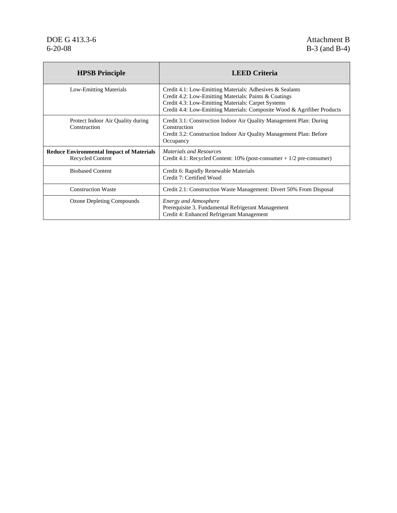# DOE G 413.3-6<br>6-20-08 **Attachment B**<br>6-20-08 **B**-3 (and B-4)

| <b>HPSB</b> Principle                                                      | <b>LEED Criteria</b>                                                                                                                                                                                                                               |
|----------------------------------------------------------------------------|----------------------------------------------------------------------------------------------------------------------------------------------------------------------------------------------------------------------------------------------------|
| <b>Low-Emitting Materials</b>                                              | Credit 4.1: Low-Emitting Materials: Adhesives & Sealants<br>Credit 4.2: Low-Emitting Materials: Paints & Coatings<br>Credit 4.3: Low-Emitting Materials: Carpet Systems<br>Credit 4.4: Low-Emitting Materials: Composite Wood & Agrifiber Products |
| Protect Indoor Air Quality during<br>Construction                          | Credit 3.1: Construction Indoor Air Quality Management Plan: During<br>Construction<br>Credit 3.2: Construction Indoor Air Quality Management Plan: Before<br>Occupancy                                                                            |
| <b>Reduce Environmental Impact of Materials</b><br><b>Recycled Content</b> | <b>Materials and Resources</b><br>Credit 4.1: Recycled Content: $10\%$ (post-consumer $+1/2$ pre-consumer)                                                                                                                                         |
| <b>Biobased Content</b>                                                    | Credit 6: Rapidly Renewable Materials<br>Credit 7: Certified Wood                                                                                                                                                                                  |
| <b>Construction Waste</b>                                                  | Credit 2.1: Construction Waste Management: Divert 50% From Disposal                                                                                                                                                                                |
| Ozone Depleting Compounds                                                  | <b>Energy and Atmosphere</b><br>Prerequisite 3. Fundamental Refrigerant Management<br>Credit 4: Enhanced Refrigerant Management                                                                                                                    |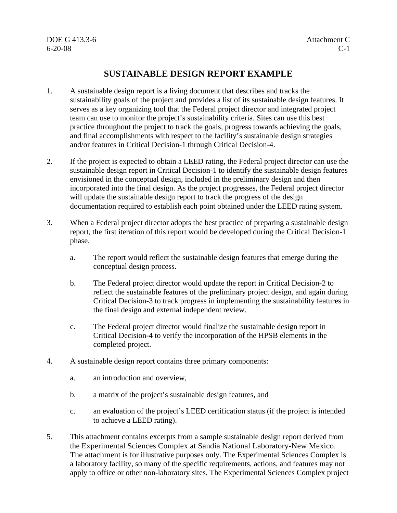DOE G 413.3-6 Attachment C 6-20-08 C-1

## **SUSTAINABLE DESIGN REPORT EXAMPLE**

- 1. A sustainable design report is a living document that describes and tracks the sustainability goals of the project and provides a list of its sustainable design features. It serves as a key organizing tool that the Federal project director and integrated project team can use to monitor the project's sustainability criteria. Sites can use this best practice throughout the project to track the goals, progress towards achieving the goals, and final accomplishments with respect to the facility's sustainable design strategies and/or features in Critical Decision-1 through Critical Decision-4.
- 2. If the project is expected to obtain a LEED rating, the Federal project director can use the sustainable design report in Critical Decision-1 to identify the sustainable design features envisioned in the conceptual design, included in the preliminary design and then incorporated into the final design. As the project progresses, the Federal project director will update the sustainable design report to track the progress of the design documentation required to establish each point obtained under the LEED rating system.
- 3. When a Federal project director adopts the best practice of preparing a sustainable design report, the first iteration of this report would be developed during the Critical Decision-1 phase.
	- a. The report would reflect the sustainable design features that emerge during the conceptual design process.
	- b. The Federal project director would update the report in Critical Decision-2 to reflect the sustainable features of the preliminary project design, and again during Critical Decision-3 to track progress in implementing the sustainability features in the final design and external independent review.
	- c. The Federal project director would finalize the sustainable design report in Critical Decision-4 to verify the incorporation of the HPSB elements in the completed project.
- 4. A sustainable design report contains three primary components:
	- a. an introduction and overview,
	- b. a matrix of the project's sustainable design features, and
	- c. an evaluation of the project's LEED certification status (if the project is intended to achieve a LEED rating).
- 5. This attachment contains excerpts from a sample sustainable design report derived from the Experimental Sciences Complex at Sandia National Laboratory-New Mexico. The attachment is for illustrative purposes only. The Experimental Sciences Complex is a laboratory facility, so many of the specific requirements, actions, and features may not apply to office or other non-laboratory sites. The Experimental Sciences Complex project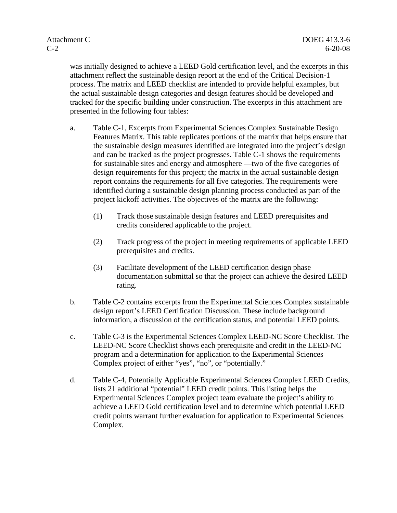was initially designed to achieve a LEED Gold certification level, and the excerpts in this attachment reflect the sustainable design report at the end of the Critical Decision-1 process. The matrix and LEED checklist are intended to provide helpful examples, but the actual sustainable design categories and design features should be developed and tracked for the specific building under construction. The excerpts in this attachment are presented in the following four tables:

- a. Table C-1, Excerpts from Experimental Sciences Complex Sustainable Design Features Matrix. This table replicates portions of the matrix that helps ensure that the sustainable design measures identified are integrated into the project's design and can be tracked as the project progresses. Table C-1 shows the requirements for sustainable sites and energy and atmosphere —two of the five categories of design requirements for this project; the matrix in the actual sustainable design report contains the requirements for all five categories. The requirements were identified during a sustainable design planning process conducted as part of the project kickoff activities. The objectives of the matrix are the following:
	- (1) Track those sustainable design features and LEED prerequisites and credits considered applicable to the project.
	- (2) Track progress of the project in meeting requirements of applicable LEED prerequisites and credits.
	- (3) Facilitate development of the LEED certification design phase documentation submittal so that the project can achieve the desired LEED rating.
- b. Table C-2 contains excerpts from the Experimental Sciences Complex sustainable design report's LEED Certification Discussion. These include background information, a discussion of the certification status, and potential LEED points.
- c. Table C-3 is the Experimental Sciences Complex LEED-NC Score Checklist. The LEED-NC Score Checklist shows each prerequisite and credit in the LEED-NC program and a determination for application to the Experimental Sciences Complex project of either "yes", "no", or "potentially."
- d. Table C-4, Potentially Applicable Experimental Sciences Complex LEED Credits, lists 21 additional "potential" LEED credit points. This listing helps the Experimental Sciences Complex project team evaluate the project's ability to achieve a LEED Gold certification level and to determine which potential LEED credit points warrant further evaluation for application to Experimental Sciences Complex.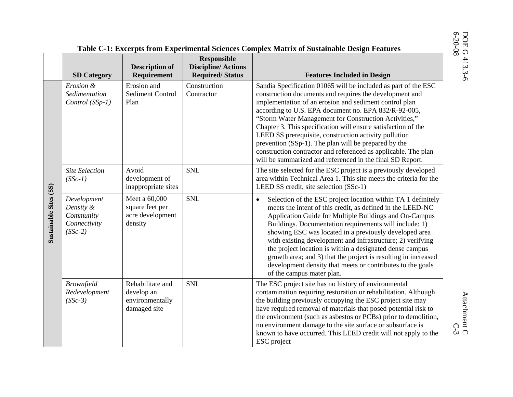#### **Responsible Description of Discipline/ Actions SD Category Requirement Features Included in Design** Erosion and **Construction** Sandia Specification 01065 will be included as part of the ESC *Erosion &* construction documents and requires the development and *Sedimentation* Sediment Control **Contractor** implementation of an erosion and sediment control plan *Control (SSp-1)*  Plan according to U.S. EPA document no. EPA 832/R-92-005, "Storm Water Management for Construction Activities," Chapter 3. This specification will ensure satisfaction of the LEED SS prerequisite, construction activity pollution prevention (SSp-1). The plan will be prepared by the construction contractor and referenced as applicable. The plan will be summarized and referenced in the final SD Report. *Site Selection* SNL The site selected for the ESC project is a previously developed Avoid development of *(SSc-1)*  area within Technical Area 1. This site meets the criteria for the **Sustainable Sites (SS)**  inappropriate sites LEED SS credit, site selection (SSc-1) Sustainable Sites (SS) *Development*  Meet a 60,000 SNL and  $\overline{\bullet}$  Selection of the ESC project location within TA 1 definitely *Density &*  square feet per meets the intent of this credit, as defined in the LEED-NC acre development *Community*  Application Guide for Multiple Buildings and On-Campus *Connectivity*  density Buildings. Documentation requirements will include: 1) showing ESC was located in a previously developed area *(SSc-2)*  with existing development and infrastructure; 2) verifying the project location is within a designated dense campus growth area; and 3) that the project is resulting in increased development density that meets or contributes to the goals of the campus mater plan. *Brownfield*  Rehabilitate and SNL The ESC project site has no history of environmental *Redevelopment*  develop an contamination requiring restoration or rehabilitation. Although environmentally the building previously occupying the ESC project site may *(SSc-3)*  damaged site have required removal of materials that posed potential risk to the environment (such as asbestos or PCBs) prior to demolition, no environment damage to the site surface or subsurface is known to have occurred. This LEED credit will not apply to the ESC project

#### **Table C-1: Excerpts from Experimental Sciences Complex Matrix of Sustainable Design Features**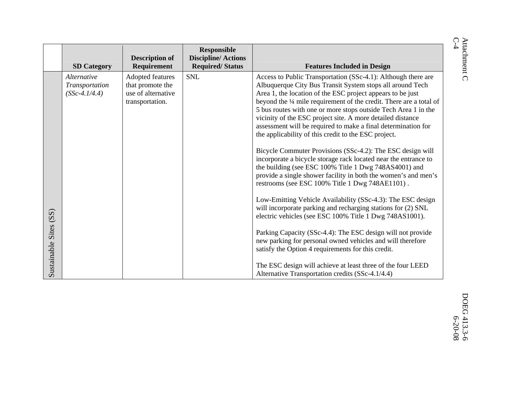|                        | <b>SD Category</b>                               | <b>Description of</b><br>Requirement                                          | <b>Responsible</b><br><b>Discipline/Actions</b><br><b>Required/Status</b> | <b>Features Included in Design</b>                                                                                                                                                                                                                                                                                                                                                                                                                                                                                                                                                                                                                                                                                                                                                                                                                                                                                                                                                                                                                                                                                                                                                                                                                                                                                                      |
|------------------------|--------------------------------------------------|-------------------------------------------------------------------------------|---------------------------------------------------------------------------|-----------------------------------------------------------------------------------------------------------------------------------------------------------------------------------------------------------------------------------------------------------------------------------------------------------------------------------------------------------------------------------------------------------------------------------------------------------------------------------------------------------------------------------------------------------------------------------------------------------------------------------------------------------------------------------------------------------------------------------------------------------------------------------------------------------------------------------------------------------------------------------------------------------------------------------------------------------------------------------------------------------------------------------------------------------------------------------------------------------------------------------------------------------------------------------------------------------------------------------------------------------------------------------------------------------------------------------------|
| Sustainable Sites (SS) | Alternative<br>Transportation<br>$(SSc-4.1/4.4)$ | Adopted features<br>that promote the<br>use of alternative<br>transportation. | <b>SNL</b>                                                                | Access to Public Transportation (SSc-4.1): Although there are<br>Albuquerque City Bus Transit System stops all around Tech<br>Area 1, the location of the ESC project appears to be just<br>beyond the 1/4 mile requirement of the credit. There are a total of<br>5 bus routes with one or more stops outside Tech Area 1 in the<br>vicinity of the ESC project site. A more detailed distance<br>assessment will be required to make a final determination for<br>the applicability of this credit to the ESC project.<br>Bicycle Commuter Provisions (SSc-4.2): The ESC design will<br>incorporate a bicycle storage rack located near the entrance to<br>the building (see ESC 100% Title 1 Dwg 748AS4001) and<br>provide a single shower facility in both the women's and men's<br>restrooms (see ESC 100% Title 1 Dwg 748AE1101).<br>Low-Emitting Vehicle Availability (SSc-4.3): The ESC design<br>will incorporate parking and recharging stations for (2) SNL<br>electric vehicles (see ESC 100% Title 1 Dwg 748AS1001).<br>Parking Capacity (SSc-4.4): The ESC design will not provide<br>new parking for personal owned vehicles and will therefore<br>satisfy the Option 4 requirements for this credit.<br>The ESC design will achieve at least three of the four LEED<br>Alternative Transportation credits (SSc-4.1/4.4) |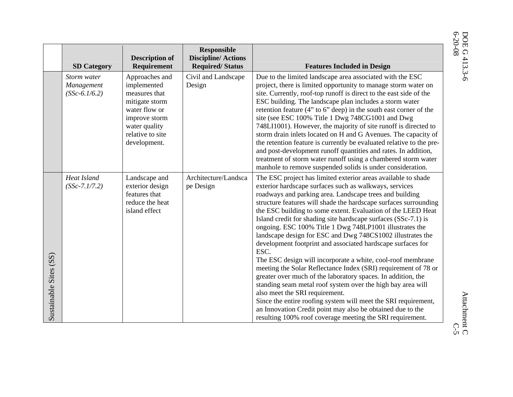**SD Category Description of Requirement Responsible Discipline/ Actions Required/ Status Features Included in Design**  Approaches and implemented measures that mitigate storm water flow or improve storm water quality relative to site development. Civil and Landscape Design Due to the limited landscape area associated with the ESC project, there is limited opportunity to manage storm water on site. Currently, roof-top runoff is direct to the east side of the ESC building. The landscape plan includes a storm water retention feature (4" to 6" deep) in the south east corner of the site (see ESC 100% Title 1 Dwg 748CG1001 and Dwg 748LI1001). However, the majority of site runoff is directed to storm drain inlets located on H and G Avenues. The capacity of the retention feature is currently be evaluated relative to the preand post-development runoff quantities and rates. In addition, treatment of storm water runoff using a chambered storm water manhole to remove suspended solids is under consideration. Landscape and exterior design features that reduce the heat island effect Architecture/Landscape Design The ESC project has limited exterior areas available to shade exterior hardscape surfaces such as walkways, services roadways and parking area. Landscape trees and building structure features will shade the hardscape surfaces surrounding the ESC building to some extent. Evaluation of the LEED Heat Island credit for shading site hardscape surfaces (SSc-7.1) is ongoing. ESC 100% Title 1 Dwg 748LP1001 illustrates the landscape design for ESC and Dwg 748CS1002 illustrates the development footprint and associated hardscape surfaces for ESC. The ESC design will incorporate a white, cool-roof membrane meeting the Solar Reflectance Index (SRI) requirement of 78 or greater over much of the laboratory spaces. In addition, the standing seam metal roof system over the high bay area will also meet the SRI requirement.

> Since the entire roofing system will meet the SRI requirement, an Innovation Credit point may also be obtained due to the resulting 100% roof coverage meeting the SRI requirement.

*Storm water Management (SSc-6.1/6.2)*

*Heat Island (SSc-7.1/7.2)* 

Sustainable Sites (SS)

Sustainable Sites (SS)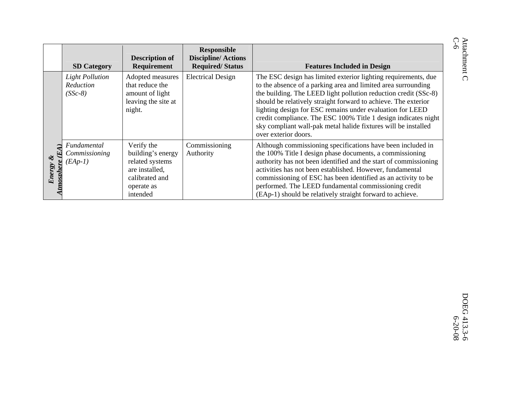|                                                    | <b>SD Category</b>                               | <b>Description of</b><br>Requirement                                                                             | <b>Responsible</b><br><b>Discipline/Actions</b><br><b>Required/Status</b> | <b>Features Included in Design</b>                                                                                                                                                                                                                                                                                                                                                                                                                                                            |
|----------------------------------------------------|--------------------------------------------------|------------------------------------------------------------------------------------------------------------------|---------------------------------------------------------------------------|-----------------------------------------------------------------------------------------------------------------------------------------------------------------------------------------------------------------------------------------------------------------------------------------------------------------------------------------------------------------------------------------------------------------------------------------------------------------------------------------------|
|                                                    | <b>Light Pollution</b><br>Reduction<br>$(SSc-8)$ | Adopted measures<br>that reduce the<br>amount of light<br>leaving the site at<br>night.                          | <b>Electrical Design</b>                                                  | The ESC design has limited exterior lighting requirements, due<br>to the absence of a parking area and limited area surrounding<br>the building. The LEED light pollution reduction credit (SSc-8)<br>should be relatively straight forward to achieve. The exterior<br>lighting design for ESC remains under evaluation for LEED<br>credit compliance. The ESC 100% Title 1 design indicates night<br>sky compliant wall-pak metal halide fixtures will be installed<br>over exterior doors. |
| FA)<br>$\mathbf{\mathcal{E}}$<br>Energy<br>tmosphe | Fundamental<br>Commissioning<br>$(EAp-1)$        | Verify the<br>building's energy<br>related systems<br>are installed,<br>calibrated and<br>operate as<br>intended | Commissioning<br>Authority                                                | Although commissioning specifications have been included in<br>the 100% Title I design phase documents, a commissioning<br>authority has not been identified and the start of commissioning<br>activities has not been established. However, fundamental<br>commissioning of ESC has been identified as an activity to be<br>performed. The LEED fundamental commissioning credit<br>(EAp-1) should be relatively straight forward to achieve.                                                |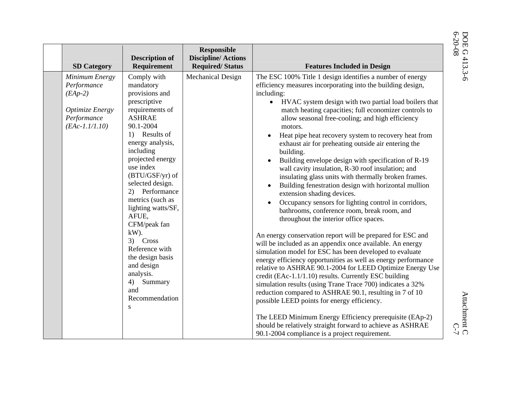|                                                                                                         |                                                                                                                                                                                                                                                                                                                                                                                                                                                                     | <b>Responsible</b>                                  |                                                                                                                                                                                                                                                                                                                                                                                                                                                                                                                                                                                                                                                                                                                                                                                                                                                                                                                                                                                                                                                                                                                                                                                                                                                                                                                                                                                                                                                                                                                                                                                                                          |
|---------------------------------------------------------------------------------------------------------|---------------------------------------------------------------------------------------------------------------------------------------------------------------------------------------------------------------------------------------------------------------------------------------------------------------------------------------------------------------------------------------------------------------------------------------------------------------------|-----------------------------------------------------|--------------------------------------------------------------------------------------------------------------------------------------------------------------------------------------------------------------------------------------------------------------------------------------------------------------------------------------------------------------------------------------------------------------------------------------------------------------------------------------------------------------------------------------------------------------------------------------------------------------------------------------------------------------------------------------------------------------------------------------------------------------------------------------------------------------------------------------------------------------------------------------------------------------------------------------------------------------------------------------------------------------------------------------------------------------------------------------------------------------------------------------------------------------------------------------------------------------------------------------------------------------------------------------------------------------------------------------------------------------------------------------------------------------------------------------------------------------------------------------------------------------------------------------------------------------------------------------------------------------------------|
| <b>SD Category</b>                                                                                      | <b>Description of</b><br>Requirement                                                                                                                                                                                                                                                                                                                                                                                                                                | <b>Discipline/Actions</b><br><b>Required/Status</b> | <b>Features Included in Design</b>                                                                                                                                                                                                                                                                                                                                                                                                                                                                                                                                                                                                                                                                                                                                                                                                                                                                                                                                                                                                                                                                                                                                                                                                                                                                                                                                                                                                                                                                                                                                                                                       |
| Minimum Energy<br>Performance<br>$(EAp-2)$<br><b>Optimize Energy</b><br>Performance<br>$(EAc-1.1/1.10)$ | Comply with<br>mandatory<br>provisions and<br>prescriptive<br>requirements of<br><b>ASHRAE</b><br>90.1-2004<br>1) Results of<br>energy analysis,<br>including<br>projected energy<br>use index<br>$(BTU/GSF/yr)$ of<br>selected design.<br>2) Performance<br>metrics (such as<br>lighting watts/SF,<br>AFUE.<br>CFM/peak fan<br>$kW$ ).<br>3) Cross<br>Reference with<br>the design basis<br>and design<br>analysis.<br>4)<br>Summary<br>and<br>Recommendation<br>S | Mechanical Design                                   | The ESC 100% Title 1 design identifies a number of energy<br>efficiency measures incorporating into the building design,<br>including:<br>HVAC system design with two partial load boilers that<br>$\bullet$<br>match heating capacities; full economizer controls to<br>allow seasonal free-cooling; and high efficiency<br>motors.<br>Heat pipe heat recovery system to recovery heat from<br>exhaust air for preheating outside air entering the<br>building.<br>Building envelope design with specification of R-19<br>wall cavity insulation, R-30 roof insulation; and<br>insulating glass units with thermally broken frames.<br>Building fenestration design with horizontal mullion<br>$\bullet$<br>extension shading devices.<br>Occupancy sensors for lighting control in corridors,<br>bathrooms, conference room, break room, and<br>throughout the interior office spaces.<br>An energy conservation report will be prepared for ESC and<br>will be included as an appendix once available. An energy<br>simulation model for ESC has been developed to evaluate<br>energy efficiency opportunities as well as energy performance<br>relative to ASHRAE 90.1-2004 for LEED Optimize Energy Use<br>credit (EAc-1.1/1.10) results. Currently ESC building<br>simulation results (using Trane Trace 700) indicates a 32%<br>reduction compared to ASHRAE 90.1, resulting in 7 of 10<br>possible LEED points for energy efficiency.<br>The LEED Minimum Energy Efficiency prerequisite (EAp-2)<br>should be relatively straight forward to achieve as ASHRAE<br>90.1-2004 compliance is a project requirement. |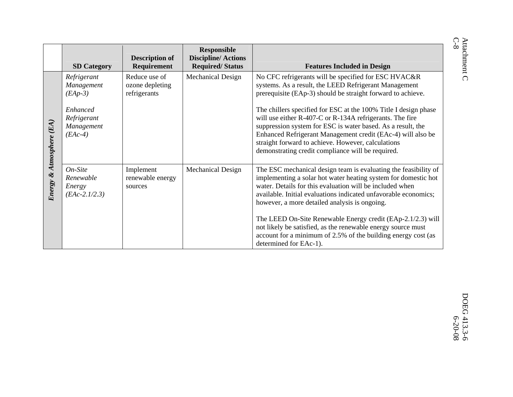|                 | <b>SD Category</b>                                  | <b>Description of</b><br>Requirement             | <b>Responsible</b><br><b>Discipline/Actions</b><br><b>Required/Status</b> | <b>Features Included in Design</b>                                                                                                                                                                                                                                                                                                                                   |
|-----------------|-----------------------------------------------------|--------------------------------------------------|---------------------------------------------------------------------------|----------------------------------------------------------------------------------------------------------------------------------------------------------------------------------------------------------------------------------------------------------------------------------------------------------------------------------------------------------------------|
|                 | Refrigerant<br>Management<br>$(EAp-3)$              | Reduce use of<br>ozone depleting<br>refrigerants | <b>Mechanical Design</b>                                                  | No CFC refrigerants will be specified for ESC HVAC&R<br>systems. As a result, the LEED Refrigerant Management<br>prerequisite (EAp-3) should be straight forward to achieve.                                                                                                                                                                                         |
| Atmosphere (EA) | Enhanced<br>Refrigerant<br>Management<br>$(EAc-4)$  |                                                  |                                                                           | The chillers specified for ESC at the 100% Title I design phase<br>will use either R-407-C or R-134A refrigerants. The fire<br>suppression system for ESC is water based. As a result, the<br>Enhanced Refrigerant Management credit (EAc-4) will also be<br>straight forward to achieve. However, calculations<br>demonstrating credit compliance will be required. |
| Energy &        | $On-Site$<br>Renewable<br>Energy<br>$(EAc-2.1/2.3)$ | Implement<br>renewable energy<br>sources         | <b>Mechanical Design</b>                                                  | The ESC mechanical design team is evaluating the feasibility of<br>implementing a solar hot water heating system for domestic hot<br>water. Details for this evaluation will be included when<br>available. Initial evaluations indicated unfavorable economics;<br>however, a more detailed analysis is ongoing.                                                    |
|                 |                                                     |                                                  |                                                                           | The LEED On-Site Renewable Energy credit (EAp-2.1/2.3) will<br>not likely be satisfied, as the renewable energy source must<br>account for a minimum of 2.5% of the building energy cost (as<br>determined for EAc-1).                                                                                                                                               |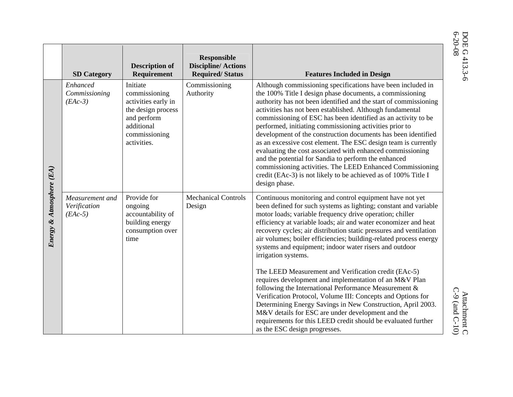| luded in Design                    |
|------------------------------------|
| ifications have been included in   |
| documents, a commissioning         |
| ed and the start of commissioning  |
| hed. Although fundamental          |
| en identified as an activity to be |
| ioning activities prior to         |
| on documents has been identified   |
| The ESC design team is currently   |
| with enhanced commissioning        |
| perform the enhanced               |
| <b>LEED Enhanced Commissioning</b> |
| be achieved as of 100% Title I     |
|                                    |

|                          | <b>SD Category</b>                           | <b>Description of</b><br>Requirement                                                                                                | <b>Responsible</b><br><b>Discipline/Actions</b><br><b>Required/Status</b> | <b>Features Included in Design</b>                                                                                                                                                                                                                                                                                                                                                                                                                                                                                                                                                                                                                                                                                                                                                            |
|--------------------------|----------------------------------------------|-------------------------------------------------------------------------------------------------------------------------------------|---------------------------------------------------------------------------|-----------------------------------------------------------------------------------------------------------------------------------------------------------------------------------------------------------------------------------------------------------------------------------------------------------------------------------------------------------------------------------------------------------------------------------------------------------------------------------------------------------------------------------------------------------------------------------------------------------------------------------------------------------------------------------------------------------------------------------------------------------------------------------------------|
| Energy & Atmosphere (EA) | Enhanced<br>Commissioning<br>$(EAc-3)$       | Initiate<br>commissioning<br>activities early in<br>the design process<br>and perform<br>additional<br>commissioning<br>activities. | Commissioning<br>Authority                                                | Although commissioning specifications have been included in<br>the 100% Title I design phase documents, a commissioning<br>authority has not been identified and the start of commissioning<br>activities has not been established. Although fundamental<br>commissioning of ESC has been identified as an activity to be<br>performed, initiating commissioning activities prior to<br>development of the construction documents has been identified<br>as an excessive cost element. The ESC design team is currently<br>evaluating the cost associated with enhanced commissioning<br>and the potential for Sandia to perform the enhanced<br>commissioning activities. The LEED Enhanced Commissioning<br>credit (EAc-3) is not likely to be achieved as of 100% Title I<br>design phase. |
|                          | Measurement and<br>Verification<br>$(EAc-5)$ | Provide for<br>ongoing<br>accountability of<br>building energy<br>consumption over<br>time                                          | <b>Mechanical Controls</b><br>Design                                      | Continuous monitoring and control equipment have not yet<br>been defined for such systems as lighting; constant and variable<br>motor loads; variable frequency drive operation; chiller<br>efficiency at variable loads; air and water economizer and heat<br>recovery cycles; air distribution static pressures and ventilation<br>air volumes; boiler efficiencies; building-related process energy<br>systems and equipment; indoor water risers and outdoor<br>irrigation systems.                                                                                                                                                                                                                                                                                                       |
|                          |                                              |                                                                                                                                     |                                                                           | The LEED Measurement and Verification credit (EAc-5)<br>requires development and implementation of an M&V Plan<br>following the International Performance Measurement &<br>Verification Protocol, Volume III: Concepts and Options for<br>Determining Energy Savings in New Construction, April 2003.<br>M&V details for ESC are under development and the<br>requirements for this LEED credit should be evaluated further<br>as the ESC design progresses.                                                                                                                                                                                                                                                                                                                                  |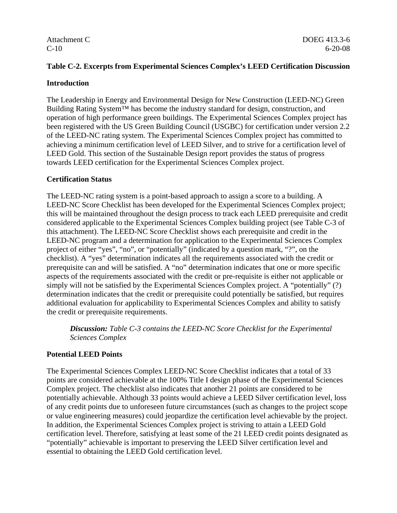### **Table C-2. Excerpts from Experimental Sciences Complex's LEED Certification Discussion**

#### **Introduction**

The Leadership in Energy and Environmental Design for New Construction (LEED-NC) Green Building Rating System™ has become the industry standard for design, construction, and operation of high performance green buildings. The Experimental Sciences Complex project has been registered with the US Green Building Council (USGBC) for certification under version 2.2 of the LEED-NC rating system. The Experimental Sciences Complex project has committed to achieving a minimum certification level of LEED Silver, and to strive for a certification level of LEED Gold. This section of the Sustainable Design report provides the status of progress towards LEED certification for the Experimental Sciences Complex project.

#### **Certification Status**

The LEED-NC rating system is a point-based approach to assign a score to a building. A LEED-NC Score Checklist has been developed for the Experimental Sciences Complex project; this will be maintained throughout the design process to track each LEED prerequisite and credit considered applicable to the Experimental Sciences Complex building project (see Table C-3 of this attachment). The LEED-NC Score Checklist shows each prerequisite and credit in the LEED-NC program and a determination for application to the Experimental Sciences Complex project of either "yes", "no", or "potentially" (indicated by a question mark, "?", on the checklist). A "yes" determination indicates all the requirements associated with the credit or prerequisite can and will be satisfied. A "no" determination indicates that one or more specific aspects of the requirements associated with the credit or pre-requisite is either not applicable or simply will not be satisfied by the Experimental Sciences Complex project. A "potentially" (?) determination indicates that the credit or prerequisite could potentially be satisfied, but requires additional evaluation for applicability to Experimental Sciences Complex and ability to satisfy the credit or prerequisite requirements.

*Discussion: Table C-3 contains the LEED-NC Score Checklist for the Experimental Sciences Complex* 

#### **Potential LEED Points**

The Experimental Sciences Complex LEED-NC Score Checklist indicates that a total of 33 points are considered achievable at the 100% Title I design phase of the Experimental Sciences Complex project. The checklist also indicates that another 21 points are considered to be potentially achievable. Although 33 points would achieve a LEED Silver certification level, loss of any credit points due to unforeseen future circumstances (such as changes to the project scope or value engineering measures) could jeopardize the certification level achievable by the project. In addition, the Experimental Sciences Complex project is striving to attain a LEED Gold certification level. Therefore, satisfying at least some of the 21 LEED credit points designated as "potentially" achievable is important to preserving the LEED Silver certification level and essential to obtaining the LEED Gold certification level.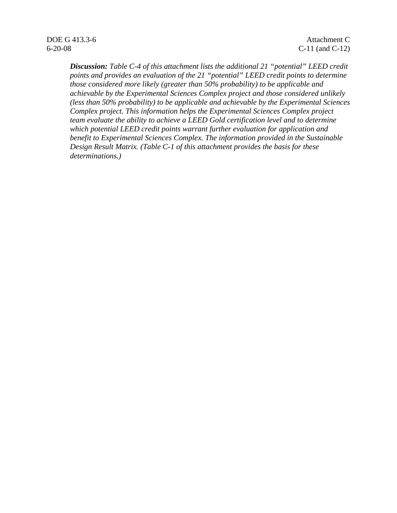*Discussion: Table C-4 of this attachment lists the additional 21 "potential" LEED credit points and provides an evaluation of the 21 "potential" LEED credit points to determine those considered more likely (greater than 50% probability) to be applicable and achievable by the Experimental Sciences Complex project and those considered unlikely (less than 50% probability) to be applicable and achievable by the Experimental Sciences Complex project. This information helps the Experimental Sciences Complex project team evaluate the ability to achieve a LEED Gold certification level and to determine which potential LEED credit points warrant further evaluation for application and benefit to Experimental Sciences Complex. The information provided in the Sustainable Design Result Matrix. (Table C-1 of this attachment provides the basis for these determinations.)*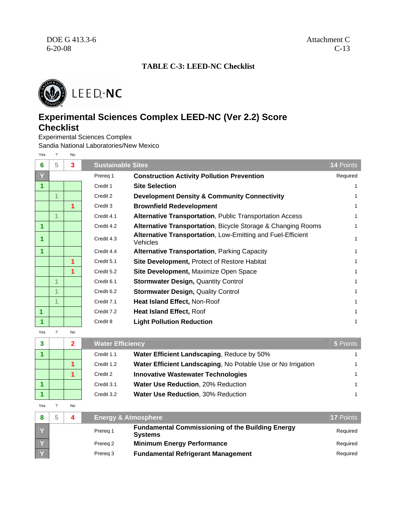## **TABLE C-3: LEED-NC Checklist**



## **Experimental Sciences Complex LEED-NC (Ver 2.2) Score Checklist**

Experimental Sciences Complex

Sandia National Laboratories/New Mexico

Yes ? No

| 6 | 5 | 3 | <b>Sustainable Sites</b> |                                                                         | 14 Points |
|---|---|---|--------------------------|-------------------------------------------------------------------------|-----------|
|   |   |   | Prereg 1                 | <b>Construction Activity Pollution Prevention</b>                       | Required  |
|   |   |   | Credit 1                 | <b>Site Selection</b>                                                   |           |
|   |   |   | Credit 2                 | <b>Development Density &amp; Community Connectivity</b>                 |           |
|   |   | 1 | Credit 3                 | <b>Brownfield Redevelopment</b>                                         |           |
|   | 1 |   | Credit 4.1               | <b>Alternative Transportation, Public Transportation Access</b>         |           |
|   |   |   | Credit 4.2               | <b>Alternative Transportation, Bicycle Storage &amp; Changing Rooms</b> |           |
|   |   |   | Credit 4.3               | Alternative Transportation, Low-Emitting and Fuel-Efficient<br>Vehicles |           |
|   |   |   | Credit 4.4               | <b>Alternative Transportation, Parking Capacity</b>                     |           |
|   |   | 1 | Credit 5.1               | <b>Site Development, Protect of Restore Habitat</b>                     |           |
|   |   | 1 | Credit 5.2               | Site Development, Maximize Open Space                                   |           |
|   |   |   | Credit 6.1               | <b>Stormwater Design, Quantity Control</b>                              |           |
|   |   |   | Credit 6.2               | <b>Stormwater Design, Quality Control</b>                               |           |
|   | 1 |   | Credit 7.1               | Heat Island Effect, Non-Roof                                            |           |
| 1 |   |   | Credit 7.2               | <b>Heat Island Effect, Roof</b>                                         |           |
|   |   |   | Credit 8                 | <b>Light Pollution Reduction</b>                                        |           |

Yes ? No

| $\mathbf{3}$ |  | <b>Water Efficiency</b> |                                                              | 5 Points |
|--------------|--|-------------------------|--------------------------------------------------------------|----------|
|              |  | Credit 1.1              | Water Efficient Landscaping, Reduce by 50%                   |          |
|              |  | Credit 1.2              | Water Efficient Landscaping, No Potable Use or No Irrigation |          |
|              |  | Credit 2                | <b>Innovative Wastewater Technologies</b>                    |          |
|              |  | Credit 3.1              | <b>Water Use Reduction, 20% Reduction</b>                    |          |
|              |  | Credit 3.2              | <b>Water Use Reduction, 30% Reduction</b>                    |          |

Yes ? No

|  |          | <b>Energy &amp; Atmosphere</b>                                            | <b>17 Points</b> |
|--|----------|---------------------------------------------------------------------------|------------------|
|  | Prereg 1 | <b>Fundamental Commissioning of the Building Energy</b><br><b>Systems</b> | Required         |
|  | Prereg 2 | <b>Minimum Energy Performance</b>                                         | Required         |
|  | Prereg 3 | <b>Fundamental Refrigerant Management</b>                                 | Required         |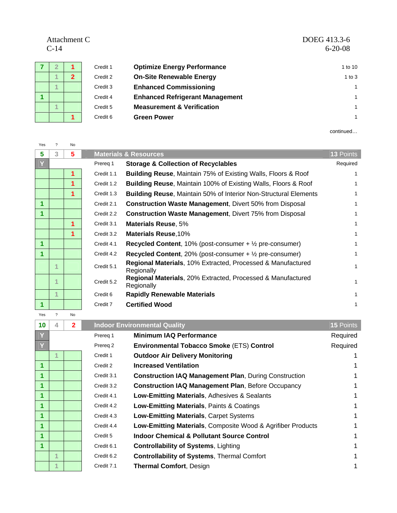Attachment C<br>C-14

| Attachment C | DOEG 413.3-6  |
|--------------|---------------|
| $C-14$       | $6 - 20 - 08$ |

|  |              | Credit 1 | <b>Optimize Energy Performance</b>     | 1 to 10    |
|--|--------------|----------|----------------------------------------|------------|
|  | $\mathbf{2}$ | Credit 2 | <b>On-Site Renewable Energy</b>        | $1$ to $3$ |
|  |              | Credit 3 | <b>Enhanced Commissioning</b>          |            |
|  |              | Credit 4 | <b>Enhanced Refrigerant Management</b> | 1          |
|  |              | Credit 5 | <b>Measurement &amp; Verification</b>  | 1          |
|  |              | Credit 6 | <b>Green Power</b>                     |            |

continued…

| Yes |    | No |            |                                                                              |           |
|-----|----|----|------------|------------------------------------------------------------------------------|-----------|
| 5   | 3. | 5  |            | <b>Materials &amp; Resources</b>                                             | 13 Points |
| Y   |    |    | Prereq 1   | <b>Storage &amp; Collection of Recyclables</b>                               | Required  |
|     |    | 1  | Credit 1.1 | <b>Building Reuse, Maintain 75% of Existing Walls, Floors &amp; Roof</b>     |           |
|     |    | 1  | Credit 1.2 | <b>Building Reuse, Maintain 100% of Existing Walls, Floors &amp; Roof</b>    |           |
|     |    | 1  | Credit 1.3 | <b>Building Reuse, Maintain 50% of Interior Non-Structural Elements</b>      |           |
| 1   |    |    | Credit 2.1 | <b>Construction Waste Management, Divert 50% from Disposal</b>               |           |
|     |    |    | Credit 2.2 | <b>Construction Waste Management, Divert 75% from Disposal</b>               |           |
|     |    | 1  | Credit 3.1 | <b>Materials Reuse, 5%</b>                                                   |           |
|     |    | 1  | Credit 3.2 | <b>Materials Reuse, 10%</b>                                                  |           |
| 1   |    |    | Credit 4.1 | <b>Recycled Content</b> , 10% (post-consumer $+$ $\frac{1}{2}$ pre-consumer) |           |
|     |    |    | Credit 4.2 | <b>Recycled Content</b> , 20% (post-consumer $+$ $\frac{1}{2}$ pre-consumer) |           |
|     |    |    | Credit 5.1 | Regional Materials, 10% Extracted, Processed & Manufactured<br>Regionally    |           |
|     | 4  |    | Credit 5.2 | Regional Materials, 20% Extracted, Processed & Manufactured<br>Regionally    |           |
|     | 1  |    | Credit 6   | <b>Rapidly Renewable Materials</b>                                           |           |
| 1   |    |    | Credit 7   | <b>Certified Wood</b>                                                        |           |
| Yes | ?  | No |            |                                                                              |           |

| 10                   | 4 | $\mathbf{2}$ |            | <b>Indoor Environmental Quality</b>                          | <b>15 Points</b> |
|----------------------|---|--------------|------------|--------------------------------------------------------------|------------------|
|                      |   |              | Prereq 1   | <b>Minimum IAQ Performance</b>                               | Required         |
| $\overline{Y}$       |   |              | Prereg 2   | Environmental Tobacco Smoke (ETS) Control                    | Required         |
|                      |   |              | Credit 1   | <b>Outdoor Air Delivery Monitoring</b>                       |                  |
| $\blacktriangleleft$ |   |              | Credit 2   | <b>Increased Ventilation</b>                                 |                  |
| 1                    |   |              | Credit 3.1 | <b>Construction IAQ Management Plan, During Construction</b> |                  |
| $\blacktriangleleft$ |   |              | Credit 3.2 | <b>Construction IAQ Management Plan, Before Occupancy</b>    |                  |
| 1                    |   |              | Credit 4.1 | Low-Emitting Materials, Adhesives & Sealants                 |                  |
| $\blacktriangleleft$ |   |              | Credit 4.2 | Low-Emitting Materials, Paints & Coatings                    |                  |
| $\blacktriangleleft$ |   |              | Credit 4.3 | Low-Emitting Materials, Carpet Systems                       |                  |
| $\blacktriangleleft$ |   |              | Credit 4.4 | Low-Emitting Materials, Composite Wood & Agrifiber Products  |                  |
| $\blacktriangleleft$ |   |              | Credit 5   | <b>Indoor Chemical &amp; Pollutant Source Control</b>        |                  |
| $\blacktriangleleft$ |   |              | Credit 6.1 | <b>Controllability of Systems, Lighting</b>                  |                  |
|                      | 1 |              | Credit 6.2 | <b>Controllability of Systems, Thermal Comfort</b>           |                  |
|                      |   |              | Credit 7.1 | <b>Thermal Comfort, Design</b>                               |                  |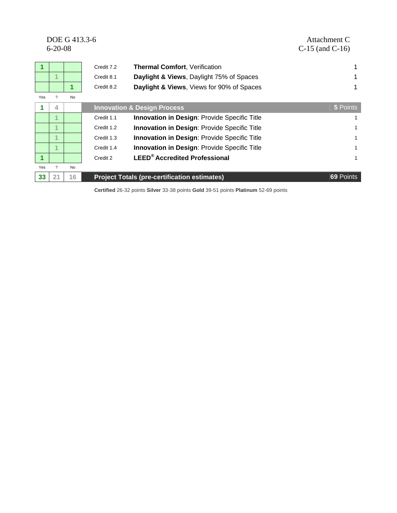|                      | $6 - 20 - 08$            | DOE G 413.3-6 |            |                                                     | Attachment C<br>$C-15$ (and $C-16$ ) |
|----------------------|--------------------------|---------------|------------|-----------------------------------------------------|--------------------------------------|
| $\blacktriangledown$ |                          |               | Credit 7.2 | Thermal Comfort, Verification                       |                                      |
|                      | 4                        |               | Credit 8.1 | Daylight & Views, Daylight 75% of Spaces            |                                      |
|                      |                          | 1             | Credit 8.2 | Daylight & Views, Views for 90% of Spaces           |                                      |
| Yes                  |                          | No            |            |                                                     |                                      |
|                      | 4                        |               |            | <b>Innovation &amp; Design Process</b>              | 5 Points                             |
|                      | $\overline{A}$           |               | Credit 1.1 | <b>Innovation in Design: Provide Specific Title</b> |                                      |
|                      | 4                        |               | Credit 1.2 | Innovation in Design: Provide Specific Title        |                                      |
|                      | 4                        |               | Credit 1.3 | <b>Innovation in Design: Provide Specific Title</b> |                                      |
|                      | 4.                       |               | Credit 1.4 | Innovation in Design: Provide Specific Title        | 1                                    |
| 1                    |                          |               | Credit 2   | <b>LEED<sup>®</sup></b> Accredited Professional     | 1                                    |
| Yes                  | $\overline{\phantom{0}}$ | No            |            |                                                     |                                      |
| 33                   | 21                       | 16            |            | <b>Project Totals (pre-certification estimates)</b> | 69 Points                            |

**Certified** 26-32 points **Silver** 33-38 points **Gold** 39-51 points **Platinum** 52-69 points